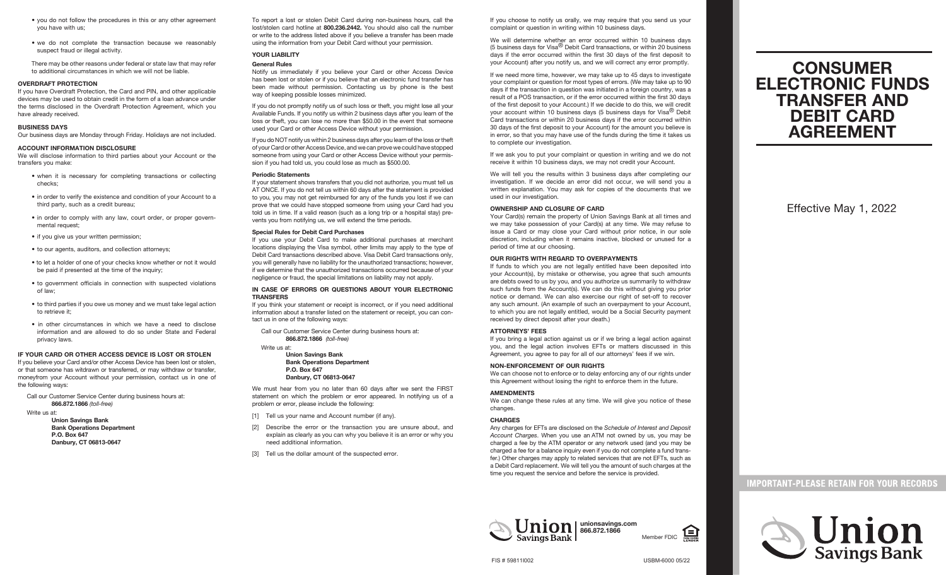- you do not follow the procedures in this or any other agreement you have with us;
- we do not complete the transaction because we reasonably suspect fraud or illegal activity.

 There may be other reasons under federal or state law that may refer to additional circumstances in which we will not be liable.

#### **OVERDRAFT PROTECTION**

If you have Overdraft Protection, the Card and PIN, and other applicable devices may be used to obtain credit in the form of a loan advance under the terms disclosed in the Overdraft Protection Agreement, which you have already received.

#### **BUSINESS DAYS**

Our business days are Monday through Friday. Holidays are not included.

## **ACCOUNT INFORMATION DISCLOSURE**

We will disclose information to third parties about your Account or the transfers you make:

- when it is necessary for completing transactions or collecting checks;
- in order to verify the existence and condition of your Account to a third party, such as a credit bureau;
- in order to comply with any law, court order, or proper governmental request;
- if you give us your written permission;
- to our agents, auditors, and collection attorneys;
- to let a holder of one of your checks know whether or not it would be paid if presented at the time of the inquiry;
- to government officials in connection with suspected violations of law;
- to third parties if you owe us money and we must take legal action to retrieve it;
- in other circumstances in which we have a need to disclose information and are allowed to do so under State and Federal privacy laws.

#### **IF YOUR CARD OR OTHER ACCESS DEVICE IS LOST OR STOLEN**

If you believe your Card and/or other Access Device has been lost or stolen, or that someone has witdrawn or transferred, or may withdraw or transfer, moneyfrom your Account without your permission, contact us in one of the following ways:

 Call our Customer Service Center during business hours at:  **866.872.1866** *(toll-free)*

Write us at:

 **Union Savings Bank Bank Operations Department P.O. Box 647 Danbury, CT 06813-0647**

To report a lost or stolen Debit Card during non-business hours, call the lost/stolen card hotline at **800.236.2442.** You should also call the number or write to the address listed above if you believe a transfer has been made using the information from your Debit Card without your permission.

## **YOUR LIABILITY General Rules**

Notify us immediately if you believe your Card or other Access Device has been lost or stolen or if you believe that an electronic fund transfer has been made without permission. Contacting us by phone is the best way of keeping possible losses minimized.

If you do not promptly notify us of such loss or theft, you might lose all your Available Funds. If you notify us within 2 business days after you learn of the loss or theft, you can lose no more than \$50.00 in the event that someone used your Card or other Access Device without your permission.

If you do NOT notify us within 2 business days after you learn of the loss or theft of your Card or other Access Device, and we can prove we could have stopped someone from using your Card or other Access Device without your permission if you had told us, you could lose as much as \$500.00.

## **Periodic Statements**

If your statement shows transfers that you did not authorize, you must tell us AT ONCE. If you do not tell us within 60 days after the statement is provided to you, you may not get reimbursed for any of the funds you lost if we can prove that we could have stopped someone from using your Card had you told us in time. If a valid reason (such as a long trip or a hospital stay) prevents you from notifying us, we will extend the time periods.

#### **Special Rules for Debit Card Purchases**

If you use your Debit Card to make additional purchases at merchant locations displaying the Visa symbol, other limits may apply to the type of Debit Card transactions described above. Visa Debit Card transactions only, you will generally have no liability for the unauthorized transactions; however, if we determine that the unauthorized transactions occurred because of your negligence or fraud, the special limitations on liability may not apply.

## **IN CASE OF ERRORS OR QUESTIONS ABOUT YOUR ELECTRONIC TRANSFERS**

If you think your statement or receipt is incorrect, or if you need additional information about a transfer listed on the statement or receipt, you can contact us in one of the following ways:

 Call our Customer Service Center during business hours at:  **866.872.1866** *(toll-free)*

## Write us at:  **Union Savings Bank**

 **Bank Operations Department P.O. Box 647 Danbury, CT 06813-0647**

We must hear from you no later than 60 days after we sent the FIRST statement on which the problem or error appeared. In notifying us of a problem or error, please include the following:

- [1] Tell us your name and Account number (if any).
- [2] Describe the error or the transaction you are unsure about, and explain as clearly as you can why you believe it is an error or why you need additional information.
- [3] Tell us the dollar amount of the suspected error.

If you choose to notify us orally, we may require that you send us your complaint or question in writing within 10 business days.

We will determine whether an error occurred within 10 business days (5 business days for Visa® Debit Card transactions, or within 20 business days if the error occurred within the first 30 days of the first deposit to your Account) after you notify us, and we will correct any error promptly.

If we need more time, however, we may take up to 45 days to investigate your complaint or question for most types of errors. (We may take up to 90 days if the transaction in question was initiated in a foreign country, was a result of a POS transaction, or if the error occurred within the first 30 days of the first deposit to your Account.) If we decide to do this, we will credit your account within 10 business days (5 business days for Visa $^{\circledR}$  Debit Card transactions or within 20 business days if the error occurred within 30 days of the first deposit to your Account) for the amount you believe is in error, so that you may have use of the funds during the time it takes us to complete our investigation.

If we ask you to put your complaint or question in writing and we do not receive it within 10 business days, we may not credit your Account.

We will tell you the results within 3 business days after completing our investigation. If we decide an error did not occur, we will send you a written explanation. You may ask for copies of the documents that we used in our investigation.

## **OWNERSHIP AND CLOSURE OF CARD**

Your Card(s) remain the property of Union Savings Bank at all times and we may take possession of your Card(s) at any time. We may refuse to issue a Card or may close your Card without prior notice, in our sole discretion, including when it remains inactive, blocked or unused for a period of time at our choosing.

## **OUR RIGHTS WITH REGARD TO OVERPAYMENTS**

If funds to which you are not legally entitled have been deposited into your Account(s), by mistake or otherwise, you agree that such amounts are debts owed to us by you, and you authorize us summarily to withdraw such funds from the Account(s). We can do this without giving you prior notice or demand. We can also exercise our right of set-off to recover any such amount. (An example of such an overpayment to your Account, to which you are not legally entitled, would be a Social Security payment received by direct deposit after your death.)

## **ATTORNEYS' FEES**

If you bring a legal action against us or if we bring a legal action against you, and the legal action involves EFTs or matters discussed in this Agreement, you agree to pay for all of our attorneys' fees if we win.

#### **NON-ENFORCEMENT OF OUR RIGHTS**

We can choose not to enforce or to delay enforcing any of our rights under this Agreement without losing the right to enforce them in the future.

## **AMENDMENTS**

We can change these rules at any time. We will give you notice of these changes.

#### **CHARGES**

Any charges for EFTs are disclosed on the *Schedule of Interest and Deposit Account Charges*. When you use an ATM not owned by us, you may be charged a fee by the ATM operator or any network used (and you may be charged a fee for a balance inquiry even if you do not complete a fund transfer.) Other charges may apply to related services that are not EFTs, such as a Debit Card replacement. We will tell you the amount of such charges at the time you request the service and before the service is provided.



Member FDIC

# **CONSUMER ELECTRONIC FUNDS TRANSFER AND DEBIT CARD AGREEMENT**

Effective May 1, 2022

## **IMPORTANT-PLEASE RETAIN FOR YOUR RECORDS**



USBM-6000 05/22